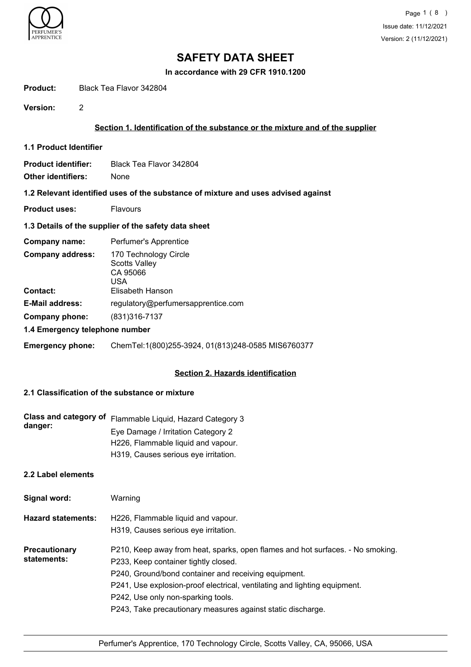

**In accordance with 29 CFR 1910.1200**

**Product:** Black Tea Flavor 342804

**Version:** 2

# **Section 1. Identification of the substance or the mixture and of the supplier**

- **1.1 Product Identifier**
- **Product identifier:** Black Tea Flavor 342804
- **Other identifiers:** None

#### **1.2 Relevant identified uses of the substance of mixture and uses advised against**

**Product uses:** Flavours

## **1.3 Details of the supplier of the safety data sheet**

| Company name:                              | Perfumer's Apprentice                                                                |  |
|--------------------------------------------|--------------------------------------------------------------------------------------|--|
| <b>Company address:</b><br><b>Contact:</b> | 170 Technology Circle<br><b>Scotts Valley</b><br>CA 95066<br>USA<br>Elisabeth Hanson |  |
| <b>E-Mail address:</b>                     | regulatory@perfumersapprentice.com                                                   |  |
| Company phone:                             | (831) 316-7137                                                                       |  |
| 1.4 Emergency telephone number             |                                                                                      |  |

# **Emergency phone:** ChemTel:1(800)255-3924, 01(813)248-0585 MIS6760377

## **Section 2. Hazards identification**

# **2.1 Classification of the substance or mixture**

| danger: | Class and category of Flammable Liquid, Hazard Category 3 |
|---------|-----------------------------------------------------------|
|         | Eye Damage / Irritation Category 2                        |
|         | H226, Flammable liquid and vapour.                        |
|         | H319, Causes serious eye irritation.                      |

# **2.2 Label elements**

| Signal word:                        | Warning                                                                                                                                                                                                                                                                                                                                                          |
|-------------------------------------|------------------------------------------------------------------------------------------------------------------------------------------------------------------------------------------------------------------------------------------------------------------------------------------------------------------------------------------------------------------|
| <b>Hazard statements:</b>           | H226, Flammable liquid and vapour.<br>H319, Causes serious eye irritation.                                                                                                                                                                                                                                                                                       |
| <b>Precautionary</b><br>statements: | P210, Keep away from heat, sparks, open flames and hot surfaces. - No smoking.<br>P233, Keep container tightly closed.<br>P240, Ground/bond container and receiving equipment.<br>P241, Use explosion-proof electrical, ventilating and lighting equipment.<br>P242, Use only non-sparking tools.<br>P243, Take precautionary measures against static discharge. |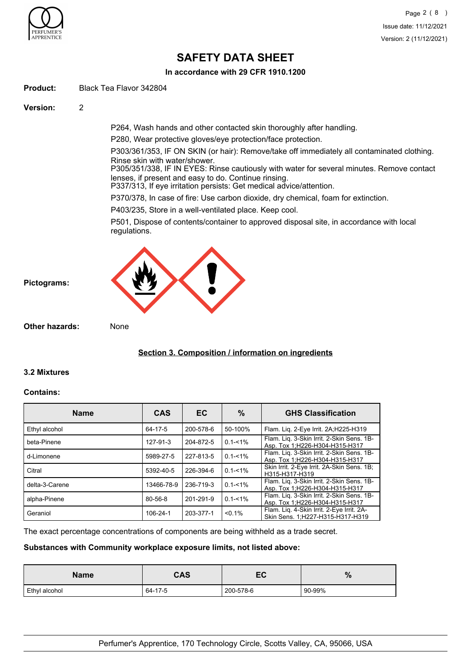

**In accordance with 29 CFR 1910.1200**

**Product:** Black Tea Flavor 342804

**Version:** 2

P264, Wash hands and other contacted skin thoroughly after handling.

P280, Wear protective gloves/eye protection/face protection.

P303/361/353, IF ON SKIN (or hair): Remove/take off immediately all contaminated clothing. Rinse skin with water/shower.

P305/351/338, IF IN EYES: Rinse cautiously with water for several minutes. Remove contact lenses, if present and easy to do. Continue rinsing.

P337/313, If eye irritation persists: Get medical advice/attention.

P370/378, In case of fire: Use carbon dioxide, dry chemical, foam for extinction.

P403/235, Store in a well-ventilated place. Keep cool.

P501, Dispose of contents/container to approved disposal site, in accordance with local regulations.



**Other hazards:** None

# **Section 3. Composition / information on ingredients**

## **3.2 Mixtures**

**Pictograms:**

#### **Contains:**

| <b>Name</b>    | <b>CAS</b> | EC.       | %           | <b>GHS Classification</b>                                                     |
|----------------|------------|-----------|-------------|-------------------------------------------------------------------------------|
| Ethyl alcohol  | 64-17-5    | 200-578-6 | 50-100%     | Flam. Liq. 2-Eye Irrit. 2A;H225-H319                                          |
| beta-Pinene    | 127-91-3   | 204-872-5 | $0.1 - 1\%$ | Flam. Lig. 3-Skin Irrit. 2-Skin Sens. 1B-<br>Asp. Tox 1; H226-H304-H315-H317  |
| d-Limonene     | 5989-27-5  | 227-813-5 | $0.1 - 1\%$ | Flam. Liq. 3-Skin Irrit. 2-Skin Sens. 1B-<br>Asp. Tox 1; H226-H304-H315-H317  |
| Citral         | 5392-40-5  | 226-394-6 | $0.1 - 1\%$ | Skin Irrit. 2-Eye Irrit. 2A-Skin Sens. 1B;<br>H315-H317-H319                  |
| delta-3-Carene | 13466-78-9 | 236-719-3 | $0.1 - 1\%$ | Flam. Liq. 3-Skin Irrit. 2-Skin Sens. 1B-<br>Asp. Tox 1:H226-H304-H315-H317   |
| alpha-Pinene   | 80-56-8    | 201-291-9 | $0.1 - 1\%$ | Flam. Lig. 3-Skin Irrit. 2-Skin Sens. 1B-<br>Asp. Tox 1; H226-H304-H315-H317  |
| Geraniol       | 106-24-1   | 203-377-1 | $< 0.1\%$   | Flam. Lig. 4-Skin Irrit. 2-Eye Irrit. 2A-<br>Skin Sens. 1:H227-H315-H317-H319 |

The exact percentage concentrations of components are being withheld as a trade secret.

## **Substances with Community workplace exposure limits, not listed above:**

| <b>Name</b>   | <b>CAS</b> | -0<br>ᄕ   | $\%$   |
|---------------|------------|-----------|--------|
| Ethyl alcohol | 64-17-5    | 200-578-6 | 90-99% |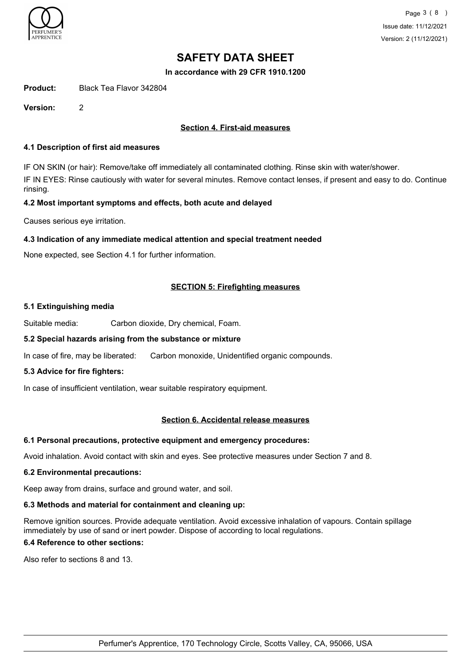

**In accordance with 29 CFR 1910.1200**

**Product:** Black Tea Flavor 342804

**Version:** 2

## **Section 4. First-aid measures**

#### **4.1 Description of first aid measures**

IF ON SKIN (or hair): Remove/take off immediately all contaminated clothing. Rinse skin with water/shower. IF IN EYES: Rinse cautiously with water for several minutes. Remove contact lenses, if present and easy to do. Continue rinsing.

#### **4.2 Most important symptoms and effects, both acute and delayed**

Causes serious eye irritation.

## **4.3 Indication of any immediate medical attention and special treatment needed**

None expected, see Section 4.1 for further information.

## **SECTION 5: Firefighting measures**

#### **5.1 Extinguishing media**

Suitable media: Carbon dioxide, Dry chemical, Foam.

## **5.2 Special hazards arising from the substance or mixture**

In case of fire, may be liberated: Carbon monoxide, Unidentified organic compounds.

## **5.3 Advice for fire fighters:**

In case of insufficient ventilation, wear suitable respiratory equipment.

#### **Section 6. Accidental release measures**

## **6.1 Personal precautions, protective equipment and emergency procedures:**

Avoid inhalation. Avoid contact with skin and eyes. See protective measures under Section 7 and 8.

#### **6.2 Environmental precautions:**

Keep away from drains, surface and ground water, and soil.

## **6.3 Methods and material for containment and cleaning up:**

Remove ignition sources. Provide adequate ventilation. Avoid excessive inhalation of vapours. Contain spillage immediately by use of sand or inert powder. Dispose of according to local regulations.

## **6.4 Reference to other sections:**

Also refer to sections 8 and 13.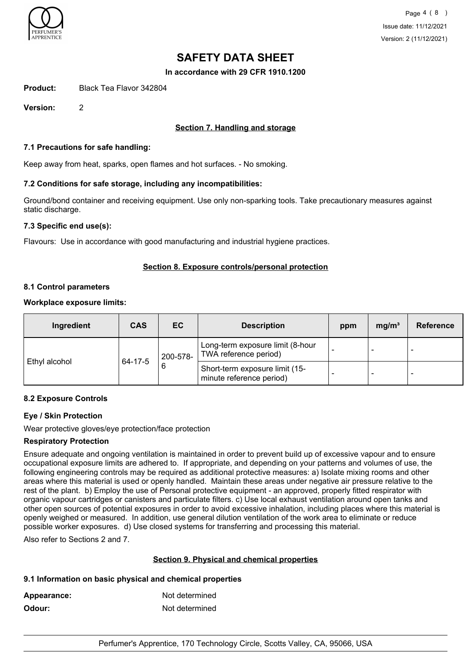

**In accordance with 29 CFR 1910.1200**

**Product:** Black Tea Flavor 342804

**Version:** 2

## **Section 7. Handling and storage**

#### **7.1 Precautions for safe handling:**

Keep away from heat, sparks, open flames and hot surfaces. - No smoking.

#### **7.2 Conditions for safe storage, including any incompatibilities:**

Ground/bond container and receiving equipment. Use only non-sparking tools. Take precautionary measures against static discharge.

#### **7.3 Specific end use(s):**

Flavours: Use in accordance with good manufacturing and industrial hygiene practices.

## **Section 8. Exposure controls/personal protection**

#### **8.1 Control parameters**

#### **Workplace exposure limits:**

| Ingredient    | <b>CAS</b> | EC       | <b>Description</b>                                         | ppm | mg/m <sup>3</sup> | Reference                |
|---------------|------------|----------|------------------------------------------------------------|-----|-------------------|--------------------------|
|               | 64-17-5    | 200-578- | Long-term exposure limit (8-hour<br>TWA reference period)  |     | -                 | $\overline{\phantom{0}}$ |
| Ethyl alcohol |            | 6        | Short-term exposure limit (15-<br>minute reference period) |     | -                 | $\overline{\phantom{0}}$ |

## **8.2 Exposure Controls**

## **Eye / Skin Protection**

Wear protective gloves/eye protection/face protection

#### **Respiratory Protection**

Ensure adequate and ongoing ventilation is maintained in order to prevent build up of excessive vapour and to ensure occupational exposure limits are adhered to. If appropriate, and depending on your patterns and volumes of use, the following engineering controls may be required as additional protective measures: a) Isolate mixing rooms and other areas where this material is used or openly handled. Maintain these areas under negative air pressure relative to the rest of the plant. b) Employ the use of Personal protective equipment - an approved, properly fitted respirator with organic vapour cartridges or canisters and particulate filters. c) Use local exhaust ventilation around open tanks and other open sources of potential exposures in order to avoid excessive inhalation, including places where this material is openly weighed or measured. In addition, use general dilution ventilation of the work area to eliminate or reduce possible worker exposures. d) Use closed systems for transferring and processing this material.

Also refer to Sections 2 and 7.

## **Section 9. Physical and chemical properties**

## **9.1 Information on basic physical and chemical properties**

| Appearance: | Not determined |
|-------------|----------------|
| Odour:      | Not determined |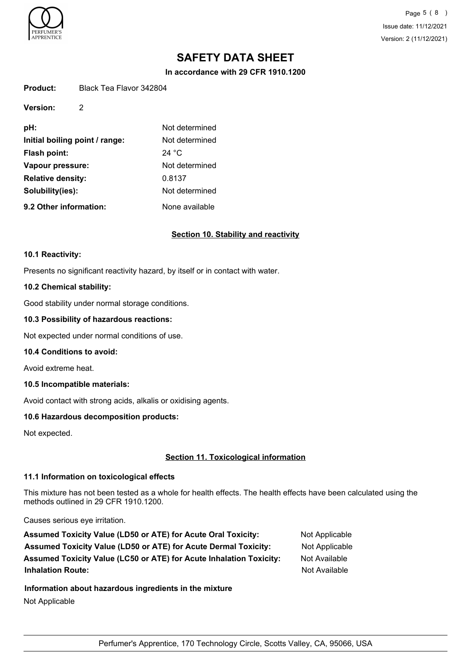

**Version:** 2

Page 5 ( 8 ) Issue date: 11/12/2021 Version: 2 (11/12/2021)

# **SAFETY DATA SHEET**

**In accordance with 29 CFR 1910.1200**

| Product: | Black Tea Flavor 342804 |
|----------|-------------------------|
|          |                         |

| pH:                            | Not determined  |
|--------------------------------|-----------------|
| Initial boiling point / range: | Not determined  |
| <b>Flash point:</b>            | 24 $^{\circ}$ C |
| Vapour pressure:               | Not determined  |
| <b>Relative density:</b>       | 0.8137          |
| Solubility(ies):               | Not determined  |
| 9.2 Other information:         | None available  |

#### **Section 10. Stability and reactivity**

#### **10.1 Reactivity:**

Presents no significant reactivity hazard, by itself or in contact with water.

#### **10.2 Chemical stability:**

Good stability under normal storage conditions.

### **10.3 Possibility of hazardous reactions:**

Not expected under normal conditions of use.

#### **10.4 Conditions to avoid:**

Avoid extreme heat.

#### **10.5 Incompatible materials:**

Avoid contact with strong acids, alkalis or oxidising agents.

## **10.6 Hazardous decomposition products:**

Not expected.

## **Section 11. Toxicological information**

## **11.1 Information on toxicological effects**

This mixture has not been tested as a whole for health effects. The health effects have been calculated using the methods outlined in 29 CFR 1910.1200.

Causes serious eye irritation.

| <b>Assumed Toxicity Value (LD50 or ATE) for Acute Oral Toxicity:</b>       | Not Applicable |
|----------------------------------------------------------------------------|----------------|
| <b>Assumed Toxicity Value (LD50 or ATE) for Acute Dermal Toxicity:</b>     | Not Applicable |
| <b>Assumed Toxicity Value (LC50 or ATE) for Acute Inhalation Toxicity:</b> | Not Available  |
| <b>Inhalation Route:</b>                                                   | Not Available  |

**Information about hazardous ingredients in the mixture** Not Applicable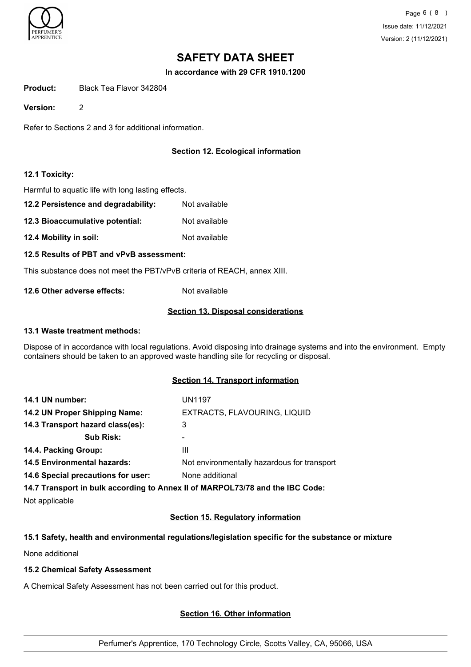

**In accordance with 29 CFR 1910.1200**

**Product:** Black Tea Flavor 342804

**Version:** 2

Refer to Sections 2 and 3 for additional information.

# **Section 12. Ecological information**

## **12.1 Toxicity:**

Harmful to aquatic life with long lasting effects.

- **12.2 Persistence and degradability:** Not available
- **12.3 Bioaccumulative potential:** Not available
- **12.4 Mobility in soil:** Not available

#### **12.5 Results of PBT and vPvB assessment:**

This substance does not meet the PBT/vPvB criteria of REACH, annex XIII.

**12.6 Other adverse effects:** Not available

## **Section 13. Disposal considerations**

#### **13.1 Waste treatment methods:**

Dispose of in accordance with local regulations. Avoid disposing into drainage systems and into the environment. Empty containers should be taken to an approved waste handling site for recycling or disposal.

## **Section 14. Transport information**

| 14.1 UN number:                    | <b>UN1197</b>                                                                 |
|------------------------------------|-------------------------------------------------------------------------------|
| 14.2 UN Proper Shipping Name:      | EXTRACTS, FLAVOURING, LIQUID                                                  |
| 14.3 Transport hazard class(es):   | 3                                                                             |
| <b>Sub Risk:</b>                   | ۰                                                                             |
| 14.4. Packing Group:               | Ш                                                                             |
| <b>14.5 Environmental hazards:</b> | Not environmentally hazardous for transport                                   |
| 14.6 Special precautions for user: | None additional                                                               |
|                                    | 14.7 Transport in bulk according to Annex II of MARPOL73/78 and the IBC Code: |

Not applicable

## **Section 15. Regulatory information**

## **15.1 Safety, health and environmental regulations/legislation specific for the substance or mixture**

None additional

## **15.2 Chemical Safety Assessment**

A Chemical Safety Assessment has not been carried out for this product.

## **Section 16. Other information**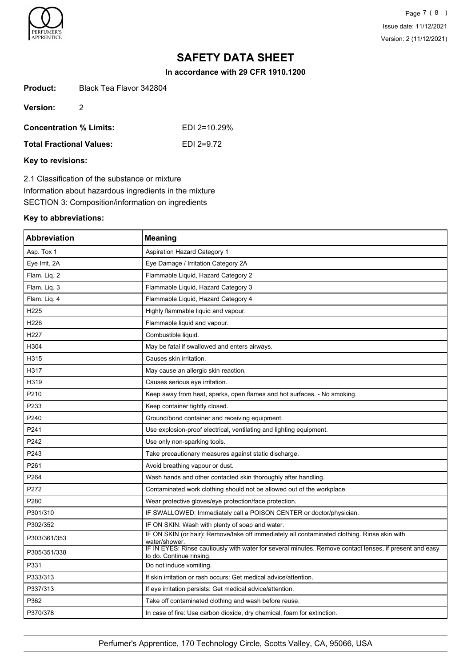

Page 7 ( 8 ) Issue date: 11/12/2021 Version: 2 (11/12/2021)

# **SAFETY DATA SHEET**

**In accordance with 29 CFR 1910.1200**

| <b>Product:</b> | Black Tea Flavor 342804 |
|-----------------|-------------------------|
|                 |                         |

**Version:** 2

**Concentration % Limits:** EDI 2=10.29%

| <b>Total Fractional Values:</b> | EDI 2=9.72 |
|---------------------------------|------------|
|                                 |            |

## **Key to revisions:**

2.1 Classification of the substance or mixture Information about hazardous ingredients in the mixture SECTION 3: Composition/information on ingredients

#### **Key to abbreviations:**

| <b>Abbreviation</b> | <b>Meaning</b>                                                                                                                      |
|---------------------|-------------------------------------------------------------------------------------------------------------------------------------|
| Asp. Tox 1          | <b>Aspiration Hazard Category 1</b>                                                                                                 |
| Eye Irrit. 2A       | Eye Damage / Irritation Category 2A                                                                                                 |
| Flam. Liq. 2        | Flammable Liquid, Hazard Category 2                                                                                                 |
| Flam. Liq. 3        | Flammable Liquid, Hazard Category 3                                                                                                 |
| Flam. Liq. 4        | Flammable Liquid, Hazard Category 4                                                                                                 |
| H225                | Highly flammable liquid and vapour.                                                                                                 |
| H226                | Flammable liquid and vapour.                                                                                                        |
| H227                | Combustible liquid.                                                                                                                 |
| H304                | May be fatal if swallowed and enters airways.                                                                                       |
| H315                | Causes skin irritation.                                                                                                             |
| H317                | May cause an allergic skin reaction.                                                                                                |
| H319                | Causes serious eye irritation.                                                                                                      |
| P210                | Keep away from heat, sparks, open flames and hot surfaces. - No smoking.                                                            |
| P233                | Keep container tightly closed.                                                                                                      |
| P240                | Ground/bond container and receiving equipment.                                                                                      |
| P241                | Use explosion-proof electrical, ventilating and lighting equipment.                                                                 |
| P242                | Use only non-sparking tools.                                                                                                        |
| P243                | Take precautionary measures against static discharge.                                                                               |
| P261                | Avoid breathing vapour or dust.                                                                                                     |
| P264                | Wash hands and other contacted skin thoroughly after handling.                                                                      |
| P272                | Contaminated work clothing should not be allowed out of the workplace.                                                              |
| P280                | Wear protective gloves/eye protection/face protection.                                                                              |
| P301/310            | IF SWALLOWED: Immediately call a POISON CENTER or doctor/physician.                                                                 |
| P302/352            | IF ON SKIN: Wash with plenty of soap and water.                                                                                     |
| P303/361/353        | IF ON SKIN (or hair): Remove/take off immediately all contaminated clothing. Rinse skin with<br>water/shower                        |
| P305/351/338        | IF IN EYES: Rinse cautiously with water for several minutes. Remove contact lenses, if present and easy<br>to do. Continue rinsing. |
| P331                | Do not induce vomiting.                                                                                                             |
| P333/313            | If skin irritation or rash occurs: Get medical advice/attention.                                                                    |
| P337/313            | If eye irritation persists: Get medical advice/attention.                                                                           |
| P362                | Take off contaminated clothing and wash before reuse.                                                                               |
| P370/378            | In case of fire: Use carbon dioxide, dry chemical, foam for extinction.                                                             |